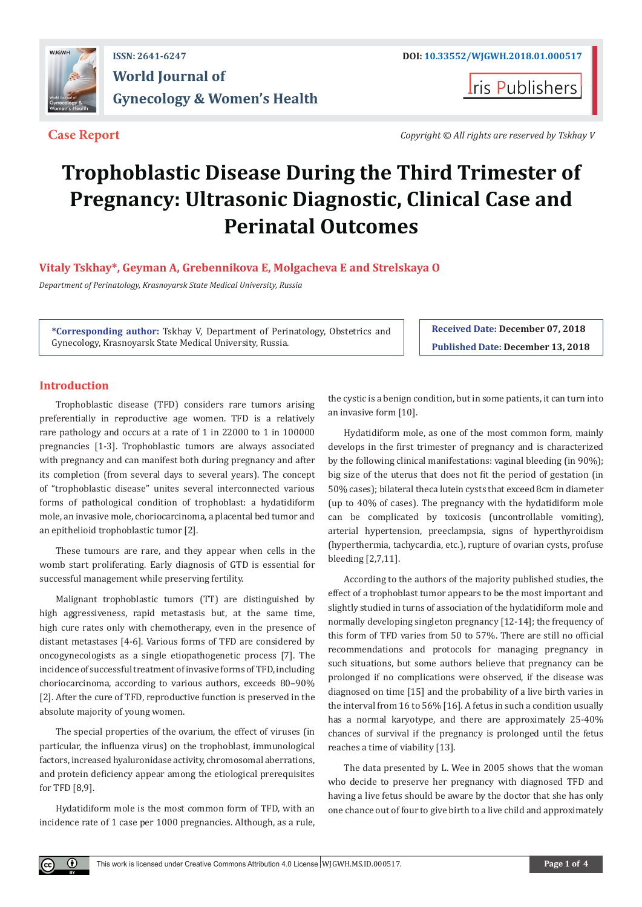

## **ISSN: 2641-6247 DOI: [10.33552/WJGWH.2018.01.000517](http://dx.doi.org/10.33552/WJGWH.2018.01.000517) World Journal of Gynecology & Women's Health**

**I**ris Publishers

**Case Report** *Copyright © All rights are reserved by Tskhay V*

# **Trophoblastic Disease During the Third Trimester of Pregnancy: Ultrasonic Diagnostic, Clinical Case and Perinatal Outcomes**

### **Vitaly Tskhay\*, Geyman A, Grebennikova E, Molgacheva E and Strelskaya O**

*Department of Perinatology, Krasnoyarsk State Medical University, Russia*

**\*Corresponding author:** Tskhay V, Department of Perinatology, Obstetrics and Gynecology, Krasnoyarsk State Medical University, Russia.

**Received Date: December 07, 2018 Published Date: December 13, 2018**

#### **Introduction**

 $_{\odot}$ 

Trophoblastic disease (TFD) considers rare tumors arising preferentially in reproductive age women. TFD is a relatively rare pathology and occurs at a rate of 1 in 22000 to 1 in 100000 pregnancies [1-3]. Trophoblastic tumors are always associated with pregnancy and can manifest both during pregnancy and after its completion (from several days to several years). The concept of "trophoblastic disease" unites several interconnected various forms of pathological condition of trophoblast: a hydatidiform mole, an invasive mole, choriocarcinoma, a placental bed tumor and an epithelioid trophoblastic tumor [2].

These tumours are rare, and they appear when cells in the womb start proliferating. Early diagnosis of GTD is essential for successful management while preserving fertility.

Malignant trophoblastic tumors (TT) are distinguished by high aggressiveness, rapid metastasis but, at the same time, high cure rates only with chemotherapy, even in the presence of distant metastases [4-6]. Various forms of TFD are considered by oncogynecologists as a single etiopathogenetic process [7]. The incidence of successful treatment of invasive forms of TFD, including choriocarcinoma, according to various authors, exceeds 80–90% [2]. After the cure of TFD, reproductive function is preserved in the absolute majority of young women.

The special properties of the ovarium, the effect of viruses (in particular, the influenza virus) on the trophoblast, immunological factors, increased hyaluronidase activity, chromosomal aberrations, and protein deficiency appear among the etiological prerequisites for TFD [8,9].

Hydatidiform mole is the most common form of TFD, with an incidence rate of 1 case per 1000 pregnancies. Although, as a rule, the cystic is a benign condition, but in some patients, it can turn into an invasive form [10].

Hydatidiform mole, as one of the most common form, mainly develops in the first trimester of pregnancy and is characterized by the following clinical manifestations: vaginal bleeding (in 90%); big size of the uterus that does not fit the period of gestation (in 50% cases); bilateral theca lutein cysts that exceed 8cm in diameter (up to 40% of cases). The pregnancy with the hydatidiform mole can be complicated by toxicosis (uncontrollable vomiting), arterial hypertension, preeclampsia, signs of hyperthyroidism (hyperthermia, tachycardia, etc.), rupture of ovarian cysts, profuse bleeding [2,7,11].

According to the authors of the majority published studies, the effect of a trophoblast tumor appears to be the most important and slightly studied in turns of association of the hydatidiform mole and normally developing singleton pregnancy [12-14]; the frequency of this form of TFD varies from 50 to 57%. There are still no official recommendations and protocols for managing pregnancy in such situations, but some authors believe that pregnancy can be prolonged if no complications were observed, if the disease was diagnosed on time [15] and the probability of a live birth varies in the interval from 16 to 56% [16]. A fetus in such a condition usually has a normal karyotype, and there are approximately 25-40% chances of survival if the pregnancy is prolonged until the fetus reaches a time of viability [13].

The data presented by L. Wee in 2005 shows that the woman who decide to preserve her pregnancy with diagnosed TFD and having a live fetus should be aware by the doctor that she has only one chance out of four to give birth to a live child and approximately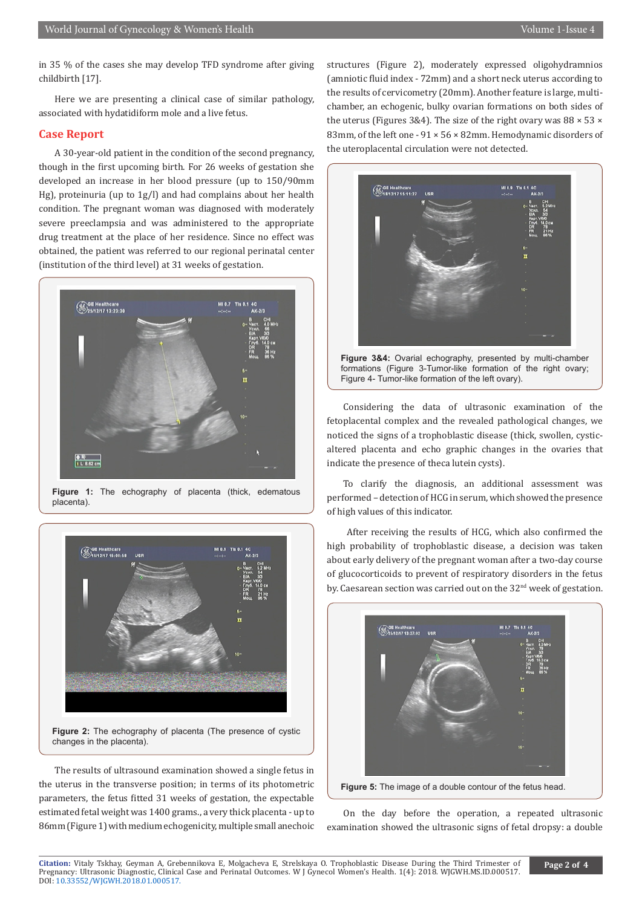in 35 % of the cases she may develop TFD syndrome after giving childbirth [17].

Here we are presenting a clinical case of similar pathology, associated with hydatidiform mole and a live fetus.

#### **Case Report**

A 30-year-old patient in the condition of the second pregnancy, though in the first upcoming birth. For 26 weeks of gestation she developed an increase in her blood pressure (up to 150/90mm Hg), proteinuria (up to 1g/l) and had complains about her health condition. The pregnant woman was diagnosed with moderately severe preeclampsia and was administered to the appropriate drug treatment at the place of her residence. Since no effect was obtained, the patient was referred to our regional perinatal center (institution of the third level) at 31 weeks of gestation.



**Figure 1:** The echography of placenta (thick, edematous placenta).



**Figure 2:** The echography of placenta (The presence of cystic changes in the placenta).

The results of ultrasound examination showed a single fetus in the uterus in the transverse position; in terms of its photometric parameters, the fetus fitted 31 weeks of gestation, the expectable estimated fetal weight was 1400 grams., a very thick placenta - up to 86mm (Figure 1) with medium echogenicity, multiple small anechoic structures (Figure 2), moderately expressed oligohydramnios (amniotic fluid index - 72mm) and a short neck uterus according to the results of cervicometry (20mm). Another feature is large, multichamber, an echogenic, bulky ovarian formations on both sides of the uterus (Figures 3&4). The size of the right ovary was  $88 \times 53 \times$ 83mm, of the left one - 91 × 56 × 82mm. Hemodynamic disorders of the uteroplacental circulation were not detected.



**Figure 3&4:** Ovarial echography, presented by multi-chamber formations (Figure 3-Tumor-like formation of the right ovary; Figure 4- Tumor-like formation of the left ovary).

Considering the data of ultrasonic examination of the fetoplacental complex and the revealed pathological changes, we noticed the signs of a trophoblastic disease (thick, swollen, cysticaltered placenta and echo graphic changes in the ovaries that indicate the presence of theca lutein cysts).

To clarify the diagnosis, an additional assessment was performed – detection of HCG in serum, which showed the presence of high values of this indicator.

 After receiving the results of HCG, which also confirmed the high probability of trophoblastic disease, a decision was taken about early delivery of the pregnant woman after a two-day course of glucocorticoids to prevent of respiratory disorders in the fetus by. Caesarean section was carried out on the 32<sup>nd</sup> week of gestation.



On the day before the operation, a repeated ultrasonic examination showed the ultrasonic signs of fetal dropsy: a double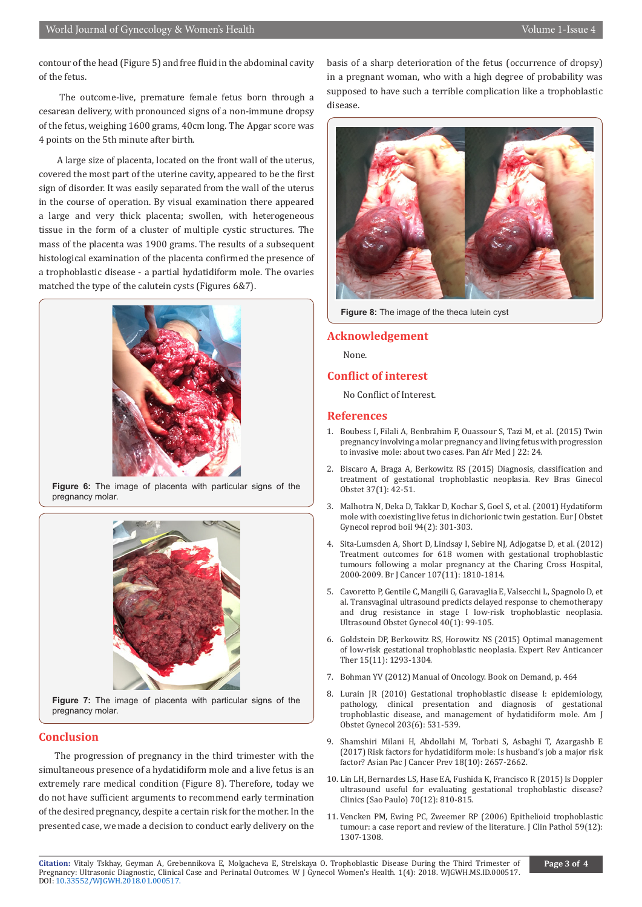contour of the head (Figure 5) and free fluid in the abdominal cavity of the fetus.

 The outcome-live, premature female fetus born through a cesarean delivery, with pronounced signs of a non-immune dropsy of the fetus, weighing 1600 grams, 40cm long. The Apgar score was 4 points on the 5th minute after birth.

 A large size of placenta, located on the front wall of the uterus, covered the most part of the uterine cavity, appeared to be the first sign of disorder. It was easily separated from the wall of the uterus in the course of operation. By visual examination there appeared a large and very thick placenta; swollen, with heterogeneous tissue in the form of a cluster of multiple cystic structures. The mass of the placenta was 1900 grams. The results of a subsequent histological examination of the placenta confirmed the presence of a trophoblastic disease - a partial hydatidiform mole. The ovaries matched the type of the calutein cysts (Figures 6&7).



**Figure 6:** The image of placenta with particular signs of the pregnancy molar.



**Figure 7:** The image of placenta with particular signs of the pregnancy molar.

#### **Conclusion**

The progression of pregnancy in the third trimester with the simultaneous presence of a hydatidiform mole and a live fetus is an extremely rare medical condition (Figure 8). Therefore, today we do not have sufficient arguments to recommend early termination of the desired pregnancy, despite a certain risk for the mother. In the presented case, we made a decision to conduct early delivery on the

basis of a sharp deterioration of the fetus (occurrence of dropsy) in a pregnant woman, who with a high degree of probability was supposed to have such a terrible complication like a trophoblastic disease.



**Figure 8:** The image of the theca lutein cyst

#### **Acknowledgement**

None.

#### **Conflict of interest**

No Conflict of Interest.

#### **References**

- 1. [Boubess I, Filali A, Benbrahim F, Ouassour S, Tazi M, et al. \(2015\) Twin](https://www.ncbi.nlm.nih.gov/pmc/articles/PMC4662527/) [pregnancy involving a molar pregnancy and living fetus with progression](https://www.ncbi.nlm.nih.gov/pmc/articles/PMC4662527/) [to invasive mole: about two cases. Pan Afr Med J 22: 24.](https://www.ncbi.nlm.nih.gov/pmc/articles/PMC4662527/)
- 2. [Biscaro A, Braga A, Berkowitz RS \(2015\) Diagnosis, classification and](https://www.ncbi.nlm.nih.gov/pubmed/25607129) [treatment of gestational trophoblastic neoplasia. Rev Bras Ginecol](https://www.ncbi.nlm.nih.gov/pubmed/25607129) [Obstet 37\(1\): 42-51.](https://www.ncbi.nlm.nih.gov/pubmed/25607129)
- 3. [Malhotra N, Deka D, Takkar D, Kochar S, Goel S, et al. \(2001\) Hydatiform](https://www.ejog.org/article/S0301-2115(00)00338-9/fulltext) [mole with coexisting live fetus in dichorionic twin gestation. Eur J Obstet](https://www.ejog.org/article/S0301-2115(00)00338-9/fulltext) [Gynecol reprod boil 94\(2\): 301-303.](https://www.ejog.org/article/S0301-2115(00)00338-9/fulltext)
- 4. [Sita-Lumsden A, Short D, Lindsay I, Sebire NJ, Adjogatse D, et al. \(2012\)](https://www.ncbi.nlm.nih.gov/pmc/articles/PMC3504950/) [Treatment outcomes for 618 women with gestational trophoblastic](https://www.ncbi.nlm.nih.gov/pmc/articles/PMC3504950/) [tumours following a molar pregnancy at the Charing Cross Hospital,](https://www.ncbi.nlm.nih.gov/pmc/articles/PMC3504950/) [2000-2009. Br J Cancer 107\(11\): 1810-1814.](https://www.ncbi.nlm.nih.gov/pmc/articles/PMC3504950/)
- 5. [Cavoretto P, Gentile C, Mangili G, Garavaglia E, Valsecchi L, Spagnolo D, et](https://www.ncbi.nlm.nih.gov/pubmed/22262502) [al. Transvaginal ultrasound predicts delayed response to chemotherapy](https://www.ncbi.nlm.nih.gov/pubmed/22262502) [and drug resistance in stage I low-risk trophoblastic neoplasia.](https://www.ncbi.nlm.nih.gov/pubmed/22262502) [Ultrasound Obstet Gynecol 40\(1\): 99-105.](https://www.ncbi.nlm.nih.gov/pubmed/22262502)
- 6. [Goldstein DP, Berkowitz RS, Horowitz NS \(2015\) Optimal management](https://www.ncbi.nlm.nih.gov/pubmed/26517533) [of low-risk gestational trophoblastic neoplasia. Expert Rev Anticancer](https://www.ncbi.nlm.nih.gov/pubmed/26517533) [Ther 15\(11\): 1293-1304.](https://www.ncbi.nlm.nih.gov/pubmed/26517533)
- 7. Bohman YV (2012) Manual of Oncology. Book on Demand, p. 464
- 8. [Lurain JR \(2010\) Gestational trophoblastic disease I: epidemiology,](https://www.ncbi.nlm.nih.gov/pubmed/20728069) [pathology, clinical presentation and diagnosis of gestational](https://www.ncbi.nlm.nih.gov/pubmed/20728069) [trophoblastic disease, and management of hydatidiform mole. Am J](https://www.ncbi.nlm.nih.gov/pubmed/20728069) [Obstet Gynecol 203\(6\): 531-539.](https://www.ncbi.nlm.nih.gov/pubmed/20728069)
- 9. [Shamshiri Milani H, Abdollahi M, Torbati S, Asbaghi T, Azargashb E](https://www.ncbi.nlm.nih.gov/pubmed/29072060) [\(2017\) Risk factors for hydatidiform mole: Is husband's job a major risk](https://www.ncbi.nlm.nih.gov/pubmed/29072060) [factor? Asian Pac J Cancer Prev 18\(10\): 2657-2662.](https://www.ncbi.nlm.nih.gov/pubmed/29072060)
- 10. [Lin LH, Bernardes LS, Hase EA, Fushida K, Francisco R \(2015\) Is Doppler](https://www.ncbi.nlm.nih.gov/pmc/articles/PMC4676324/) [ultrasound useful for evaluating gestational trophoblastic disease?](https://www.ncbi.nlm.nih.gov/pmc/articles/PMC4676324/) [Clinics \(Sao Paulo\) 70\(12\): 810-815.](https://www.ncbi.nlm.nih.gov/pmc/articles/PMC4676324/)
- 11. [Vencken PM, Ewing PC, Zweemer RP \(2006\) Epithelioid trophoblastic](https://www.ncbi.nlm.nih.gov/pmc/articles/PMC1860538/) [tumour: a case report and review of the literature. J Clin Pathol 59\(12\):](https://www.ncbi.nlm.nih.gov/pmc/articles/PMC1860538/) [1307-1308.](https://www.ncbi.nlm.nih.gov/pmc/articles/PMC1860538/)